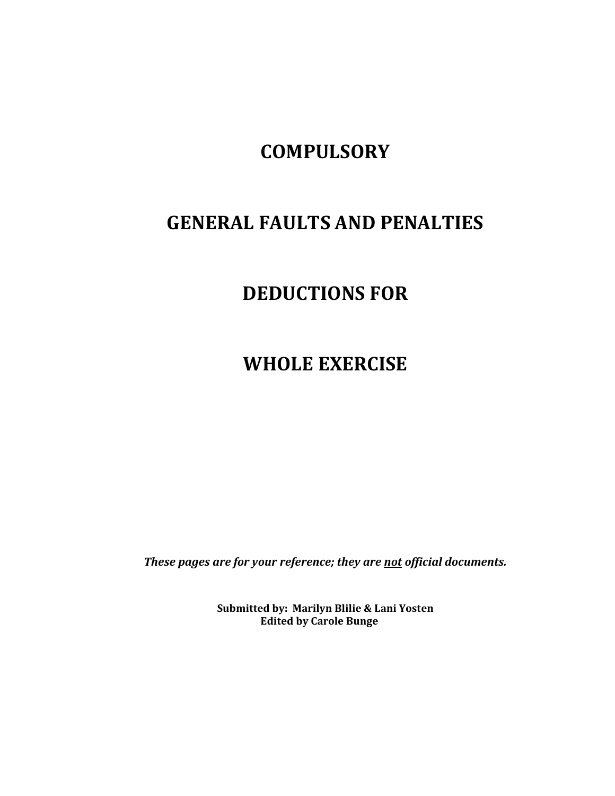# **COMPULSORY**

# **GENERAL FAULTS AND PENALTIES**

# **DEDUCTIONS FOR**

**WHOLE EXERCISE**

*These pages are for your reference; they are not official documents.*

**Submitted by: Marilyn Blilie & Lani Yosten Edited by Carole Bunge**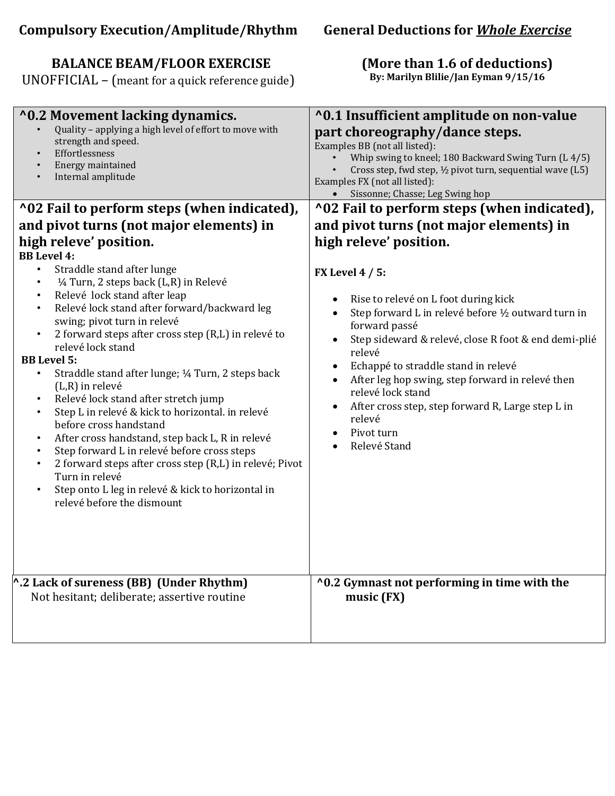# **BALANCE BEAM/FLOOR EXERCISE**

UNOFFICIAL – (meant for a quick reference guide)

# **(More than 1.6 of deductions)**

**By: Marilyn Blilie/Jan Eyman 9/15/16**

| Quality - applying a high level of effort to move with<br>strength and speed.<br>Effortlessness<br>Energy maintained<br>Internal amplitude                                                                                                                                                                                                                                                                                                                                                                                                                                                                                                                                                                                                                                                                                                                                                                                                             | part choreography/dance steps.<br>Examples BB (not all listed):<br>Whip swing to kneel; 180 Backward Swing Turn (L 4/5)<br>Cross step, fwd step, 1/2 pivot turn, sequential wave (L5)<br>Examples FX (not all listed):<br>• Sissonne; Chasse; Leg Swing hop                                                                                                                                                                                                                                                                                                                      |
|--------------------------------------------------------------------------------------------------------------------------------------------------------------------------------------------------------------------------------------------------------------------------------------------------------------------------------------------------------------------------------------------------------------------------------------------------------------------------------------------------------------------------------------------------------------------------------------------------------------------------------------------------------------------------------------------------------------------------------------------------------------------------------------------------------------------------------------------------------------------------------------------------------------------------------------------------------|----------------------------------------------------------------------------------------------------------------------------------------------------------------------------------------------------------------------------------------------------------------------------------------------------------------------------------------------------------------------------------------------------------------------------------------------------------------------------------------------------------------------------------------------------------------------------------|
| ^02 Fail to perform steps (when indicated),<br>and pivot turns (not major elements) in<br>high releve' position.<br><b>BB</b> Level 4:<br>Straddle stand after lunge<br>$\bullet$<br>1/4 Turn, 2 steps back (L,R) in Relevé<br>Relevé lock stand after leap<br>Relevé lock stand after forward/backward leg<br>swing; pivot turn in relevé<br>2 forward steps after cross step (R,L) in relevé to<br>$\bullet$<br>relevé lock stand<br><b>BB</b> Level 5:<br>Straddle stand after lunge; 1/4 Turn, 2 steps back<br>$\bullet$<br>$(L,R)$ in relevé<br>Relevé lock stand after stretch jump<br>Step L in relevé & kick to horizontal. in relevé<br>before cross handstand<br>After cross handstand, step back L, R in relevé<br>Step forward L in relevé before cross steps<br>2 forward steps after cross step (R,L) in relevé; Pivot<br>$\bullet$<br>Turn in relevé<br>Step onto L leg in relevé & kick to horizontal in<br>relevé before the dismount | ^02 Fail to perform steps (when indicated),<br>and pivot turns (not major elements) in<br>high releve' position.<br><b>FX Level 4 / 5:</b><br>Rise to relevé on L foot during kick<br>$\bullet$<br>Step forward L in relevé before 1/2 outward turn in<br>forward passé<br>Step sideward & relevé, close R foot & end demi-plié<br>$\bullet$<br>relevé<br>Echappé to straddle stand in relevé<br>After leg hop swing, step forward in relevé then<br>relevé lock stand<br>After cross step, step forward R, Large step L in<br>$\bullet$<br>relevé<br>Pivot turn<br>Relevé Stand |
| $^{\wedge}$ .2 Lack of sureness (BB) (Under Rhythm)<br>Not hesitant; deliberate; assertive routine                                                                                                                                                                                                                                                                                                                                                                                                                                                                                                                                                                                                                                                                                                                                                                                                                                                     | ^0.2 Gymnast not performing in time with the<br>music (FX)                                                                                                                                                                                                                                                                                                                                                                                                                                                                                                                       |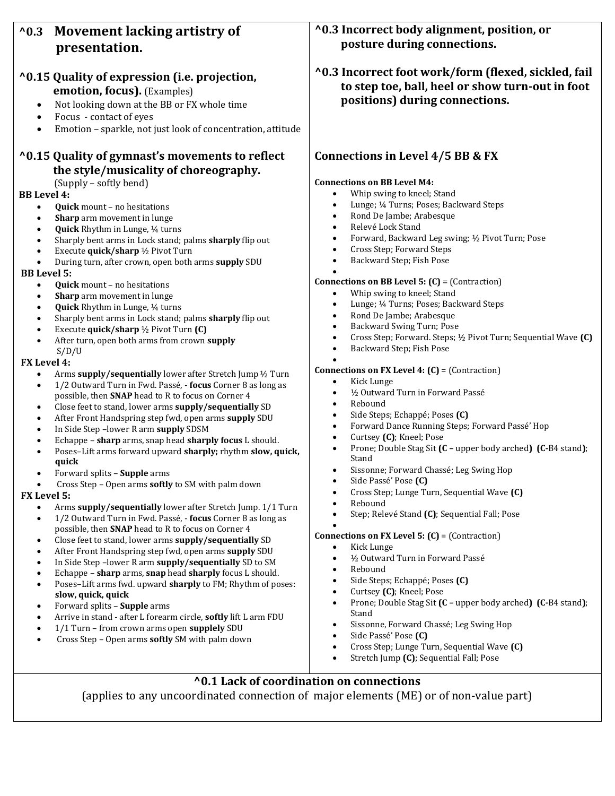# **^0.3 Movement lacking artistry of presentation.**

# **^0.15 Quality of expression (i.e. projection, emotion, focus).** (Examples)

- 
- Not looking down at the BB or FX whole time
- Focus contact of eyes
- Emotion sparkle, not just look of concentration, attitude

# **^0.15 Quality of gymnast's movements to reflect the style/musicality of choreography.**

(Supply – softly bend)

### **BB Level 4:**

- **Quick** mount no hesitations
- **Sharp** arm movement in lunge
- **Quick** Rhythm in Lunge, ¼ turns
- Sharply bent arms in Lock stand; palms **sharply** flip out
- Execute **quick/sharp** ½ Pivot Turn
- During turn, after crown, open both arms **supply** SDU

#### **BB Level 5:**

- **Quick** mount no hesitations
- **Sharp** arm movement in lunge
- **Quick** Rhythm in Lunge, ¼ turns
- Sharply bent arms in Lock stand; palms **sharply** flip out
- Execute **quick/sharp** ½ Pivot Turn **(C)**
- After turn, open both arms from crown **supply**

#### S/D/U **FX Level 4:**

- Arms **supply/sequentially** lower after Stretch Jump ½ Turn
- 1/2 Outward Turn in Fwd. Passé, **focus** Corner 8 as long as possible, then **SNAP** head to R to focus on Corner 4
- Close feet to stand, lower arms **supply/sequentially** SD
- After Front Handspring step fwd, open arms **supply** SDU
- In Side Step –lower R arm **supply** SDSM
- Echappe **sharp** arms, snap head **sharply focus** L should.
- Poses–Lift arms forward upward **sharply;** rhythm **slow, quick, quick**
- Forward splits **Supple** arms
- Cross Step Open arms **softly** to SM with palm down

#### **FX Level 5:**

- Arms **supply/sequentially** lower after Stretch Jump. 1/1 Turn
- 1/2 Outward Turn in Fwd. Passé, **focus** Corner 8 as long as possible, then **SNAP** head to R to focus on Corner 4
- Close feet to stand, lower arms **supply/sequentially** SD
- After Front Handspring step fwd, open arms **supply** SDU
- In Side Step –lower R arm **supply/sequentially** SD to SM
- Echappe **sharp** arms, **snap** head **sharply** focus L should.
- Poses–Lift arms fwd. upward **sharply** to FM; Rhythm of poses: **slow, quick, quick**
- Forward splits **Supple** arms
- Arrive in stand after L forearm circle, **softly** lift L arm FDU
- 1/1 Turn from crown arms open **supplely** SDU
- Cross Step Open arms **softly** SM with palm down

**^0.3 Incorrect body alignment, position, or posture during connections.** 

**^0.3 Incorrect foot work/form (flexed, sickled, fail to step toe, ball, heel or show turn-out in foot positions) during connections.**

## **Connections in Level 4/5 BB & FX**

#### **Connections on BB Level M4:**

- Whip swing to kneel; Stand
- Lunge; ¼ Turns; Poses; Backward Steps
- Rond De Jambe; Arabesque
- Relevé Lock Stand
- Forward, Backward Leg swing; ½ Pivot Turn; Pose
- Cross Step; Forward Steps
- Backward Step; Fish Pose

#### $\bullet$ **Connections on BB Level 5: (C)** = (Contraction)

- Whip swing to kneel; Stand
- Lunge; ¼ Turns; Poses; Backward Steps
- Rond De Jambe; Arabesque
- Backward Swing Turn; Pose
- Cross Step; Forward. Steps; ½ Pivot Turn; Sequential Wave **(C)**
- Backward Step; Fish Pose

#### $\bullet$ **Connections on FX Level 4: (C)** = (Contraction)

- Kick Lunge
- ½ Outward Turn in Forward Passé
- Rebound
- Side Steps; Echappé; Poses **(C)**
- Forward Dance Running Steps; Forward Passé' Hop
- Curtsey **(C)**; Kneel; Pose
- Prone; Double Stag Sit **(C –** upper body arched**) (C-**B4 stand**)**; Stand
- Sissonne; Forward Chassé; Leg Swing Hop
- Side Passé' Pose **(C)**
- Cross Step; Lunge Turn, Sequential Wave **(C)**
- Rebound
- Step; Relevé Stand **(C)**; Sequential Fall; Pose

#### $\bullet$ **Connections on FX Level 5: (C)** = (Contraction)

- Kick Lunge
- ½ Outward Turn in Forward Passé
- Rebound
- Side Steps; Echappé; Poses **(C)**
- Curtsey **(C)**; Kneel; Pose
- Prone; Double Stag Sit **(C –** upper body arched**) (C-**B4 stand**)**; Stand
- Sissonne, Forward Chassé; Leg Swing Hop
- Side Passé' Pose **(C)**
- Cross Step; Lunge Turn, Sequential Wave **(C)**
- Stretch Jump **(C)**; Sequential Fall; Pose

## **^0.1 Lack of coordination on connections**

(applies to any uncoordinated connection of major elements (ME) or of non-value part)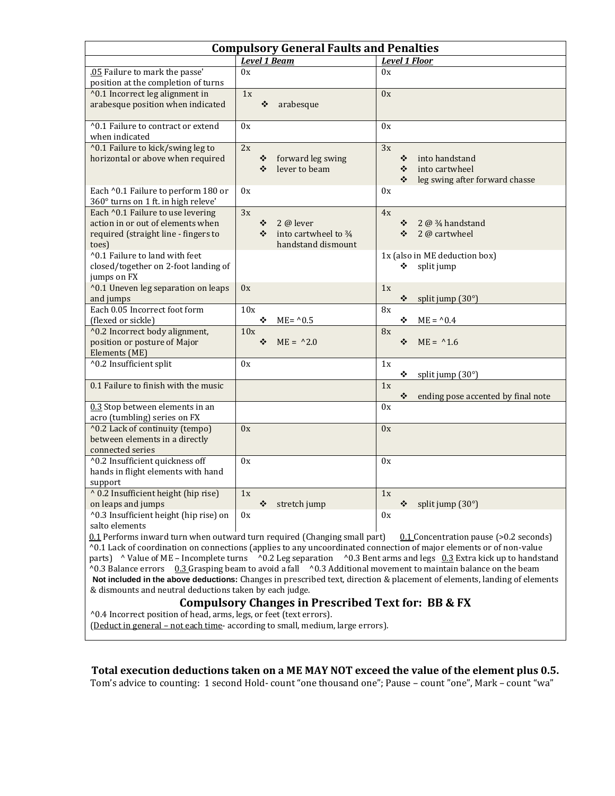| <b>Compulsory General Faults and Penalties</b>                                                                                                                                                                                                                                                                                                                                                                                                                                                                                                                                                                                                                                                                                               |                                                                           |                                                                                         |  |  |  |  |  |
|----------------------------------------------------------------------------------------------------------------------------------------------------------------------------------------------------------------------------------------------------------------------------------------------------------------------------------------------------------------------------------------------------------------------------------------------------------------------------------------------------------------------------------------------------------------------------------------------------------------------------------------------------------------------------------------------------------------------------------------------|---------------------------------------------------------------------------|-----------------------------------------------------------------------------------------|--|--|--|--|--|
|                                                                                                                                                                                                                                                                                                                                                                                                                                                                                                                                                                                                                                                                                                                                              | <b>Level 1 Floor</b>                                                      |                                                                                         |  |  |  |  |  |
| .05 Failure to mark the passe'                                                                                                                                                                                                                                                                                                                                                                                                                                                                                                                                                                                                                                                                                                               | 0x                                                                        | 0x                                                                                      |  |  |  |  |  |
| position at the completion of turns                                                                                                                                                                                                                                                                                                                                                                                                                                                                                                                                                                                                                                                                                                          |                                                                           |                                                                                         |  |  |  |  |  |
| ^0.1 Incorrect leg alignment in<br>arabesque position when indicated                                                                                                                                                                                                                                                                                                                                                                                                                                                                                                                                                                                                                                                                         | 1x<br>❖<br>arabesque                                                      | 0x                                                                                      |  |  |  |  |  |
| ^0.1 Failure to contract or extend<br>when indicated                                                                                                                                                                                                                                                                                                                                                                                                                                                                                                                                                                                                                                                                                         | 0x                                                                        | 0x                                                                                      |  |  |  |  |  |
| ^0.1 Failure to kick/swing leg to<br>horizontal or above when required                                                                                                                                                                                                                                                                                                                                                                                                                                                                                                                                                                                                                                                                       | 2x<br>❖<br>forward leg swing<br>lever to beam<br>❖                        | 3x<br>into handstand<br>❖<br>into cartwheel<br>❖<br>❖<br>leg swing after forward chasse |  |  |  |  |  |
| Each ^0.1 Failure to perform 180 or<br>360° turns on 1 ft. in high releve'                                                                                                                                                                                                                                                                                                                                                                                                                                                                                                                                                                                                                                                                   | 0x                                                                        | 0x                                                                                      |  |  |  |  |  |
| Each ^0.1 Failure to use levering<br>action in or out of elements when<br>required (straight line - fingers to<br>toes)                                                                                                                                                                                                                                                                                                                                                                                                                                                                                                                                                                                                                      | 3x<br>$2@$ lever<br>❖<br>into cartwheel to 3/4<br>❖<br>handstand dismount | 4x<br>2 $\omega$ $\frac{3}{4}$ handstand<br>❖<br>2 @ cartwheel<br>❖                     |  |  |  |  |  |
| ^0.1 Failure to land with feet<br>closed/together on 2-foot landing of<br>jumps on FX                                                                                                                                                                                                                                                                                                                                                                                                                                                                                                                                                                                                                                                        |                                                                           | 1x (also in ME deduction box)<br>❖<br>split jump                                        |  |  |  |  |  |
| ^0.1 Uneven leg separation on leaps<br>and jumps                                                                                                                                                                                                                                                                                                                                                                                                                                                                                                                                                                                                                                                                                             | 0x                                                                        | 1x<br>❖<br>split jump (30°)                                                             |  |  |  |  |  |
| Each 0.05 Incorrect foot form<br>(flexed or sickle)                                                                                                                                                                                                                                                                                                                                                                                                                                                                                                                                                                                                                                                                                          | 10x<br>❖<br>$ME = 0.5$                                                    | 8x<br>❖<br>$ME = 0.4$                                                                   |  |  |  |  |  |
| ^0.2 Incorrect body alignment,<br>position or posture of Major<br>Elements (ME)                                                                                                                                                                                                                                                                                                                                                                                                                                                                                                                                                                                                                                                              | 10x<br>$ME = \, ^{0.2.0}$<br>❖                                            | 8x<br>$ME = 1.6$<br>❖                                                                   |  |  |  |  |  |
| ^0.2 Insufficient split                                                                                                                                                                                                                                                                                                                                                                                                                                                                                                                                                                                                                                                                                                                      | 0x                                                                        | 1x<br>❖<br>split jump (30°)                                                             |  |  |  |  |  |
| 0.1 Failure to finish with the music                                                                                                                                                                                                                                                                                                                                                                                                                                                                                                                                                                                                                                                                                                         |                                                                           | 1x<br>ending pose accented by final note<br>❖                                           |  |  |  |  |  |
| 0.3 Stop between elements in an<br>acro (tumbling) series on FX                                                                                                                                                                                                                                                                                                                                                                                                                                                                                                                                                                                                                                                                              |                                                                           | 0x                                                                                      |  |  |  |  |  |
| ^0.2 Lack of continuity (tempo)<br>between elements in a directly<br>connected series                                                                                                                                                                                                                                                                                                                                                                                                                                                                                                                                                                                                                                                        | 0x                                                                        | 0x                                                                                      |  |  |  |  |  |
| ^0.2 Insufficient quickness off<br>hands in flight elements with hand<br>support                                                                                                                                                                                                                                                                                                                                                                                                                                                                                                                                                                                                                                                             | 0x                                                                        | 0x                                                                                      |  |  |  |  |  |
| ^ 0.2 Insufficient height (hip rise)<br>on leaps and jumps                                                                                                                                                                                                                                                                                                                                                                                                                                                                                                                                                                                                                                                                                   | 1x<br>❖<br>stretch jump                                                   | 1x<br>split jump (30°)<br>❖                                                             |  |  |  |  |  |
| ^0.3 Insufficient height (hip rise) on<br>salto elements                                                                                                                                                                                                                                                                                                                                                                                                                                                                                                                                                                                                                                                                                     | 0x                                                                        | 0x                                                                                      |  |  |  |  |  |
| 0.1 Performs inward turn when outward turn required (Changing small part)<br>$0.1$ Concentration pause (>0.2 seconds)<br>^0.1 Lack of coordination on connections (applies to any uncoordinated connection of major elements or of non-value<br>parts) ^ Value of ME - Incomplete turns ^0.2 Leg separation ^0.3 Bent arms and legs 0.3 Extra kick up to handstand<br>^0.3 Balance errors 0.3 Grasping beam to avoid a fall ^0.3 Additional movement to maintain balance on the beam<br>Not included in the above deductions: Changes in prescribed text, direction & placement of elements, landing of elements<br>& dismounts and neutral deductions taken by each judge.<br><b>Compulsory Changes in Prescribed Text for: BB &amp; FX</b> |                                                                           |                                                                                         |  |  |  |  |  |
| ^0.4 Incorrect position of head, arms, legs, or feet (text errors).<br>(Deduct in general - not each time- according to small, medium, large errors).                                                                                                                                                                                                                                                                                                                                                                                                                                                                                                                                                                                        |                                                                           |                                                                                         |  |  |  |  |  |

**Total execution deductions taken on a ME MAY NOT exceed the value of the element plus 0.5.**

Tom's advice to counting: 1 second Hold- count "one thousand one"; Pause – count "one", Mark – count "wa"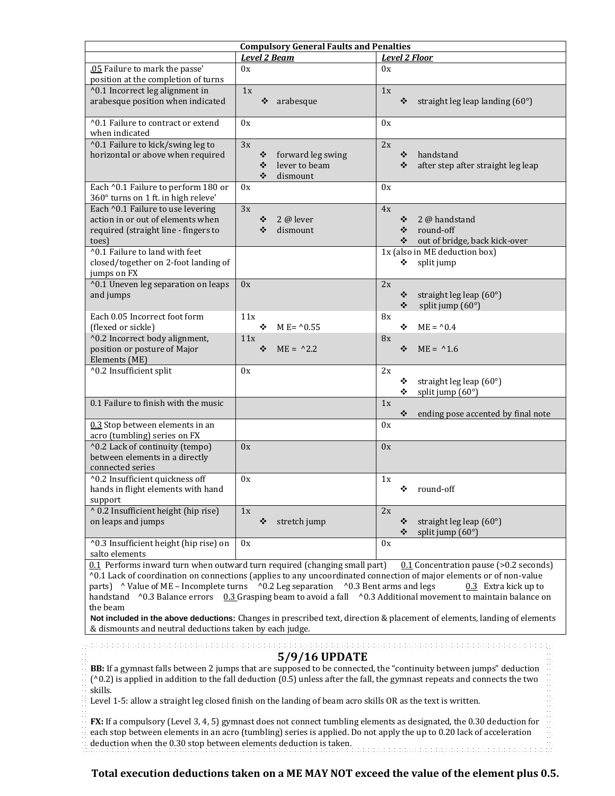| <b>Compulsory General Faults and Penalties</b>                                              |                        |                                               |  |  |  |  |  |
|---------------------------------------------------------------------------------------------|------------------------|-----------------------------------------------|--|--|--|--|--|
|                                                                                             | <b>Level 2 Beam</b>    | <b>Level 2 Floor</b>                          |  |  |  |  |  |
| .05 Failure to mark the passe'                                                              | 0x                     | 0x                                            |  |  |  |  |  |
| position at the completion of turns                                                         |                        |                                               |  |  |  |  |  |
| ^0.1 Incorrect leg alignment in                                                             | 1x                     | 1x                                            |  |  |  |  |  |
| arabesque position when indicated                                                           | ❖<br>arabesque         | ❖<br>straight leg leap landing $(60^{\circ})$ |  |  |  |  |  |
| ^0.1 Failure to contract or extend                                                          | 0x                     | 0x                                            |  |  |  |  |  |
| when indicated                                                                              |                        |                                               |  |  |  |  |  |
| ^0.1 Failure to kick/swing leg to                                                           | 3x                     | 2x                                            |  |  |  |  |  |
| horizontal or above when required                                                           | forward leg swing<br>❖ | ❖<br>handstand                                |  |  |  |  |  |
|                                                                                             | lever to beam<br>❖     | ❖<br>after step after straight leg leap       |  |  |  |  |  |
|                                                                                             | ❖<br>dismount          |                                               |  |  |  |  |  |
| Each ^0.1 Failure to perform 180 or                                                         | 0x                     | 0x                                            |  |  |  |  |  |
| 360° turns on 1 ft. in high releve'                                                         |                        |                                               |  |  |  |  |  |
| Each ^0.1 Failure to use levering<br>action in or out of elements when                      | 3x<br>$2@$ lever<br>❖  | 4x<br>2 @ handstand<br>❖                      |  |  |  |  |  |
| required (straight line - fingers to                                                        | ❖<br>dismount          | round-off<br>❖                                |  |  |  |  |  |
| toes)                                                                                       |                        | ❖<br>out of bridge, back kick-over            |  |  |  |  |  |
| ^0.1 Failure to land with feet                                                              |                        | 1x (also in ME deduction box)                 |  |  |  |  |  |
| closed/together on 2-foot landing of                                                        |                        | split jump<br>❖                               |  |  |  |  |  |
| jumps on FX                                                                                 |                        |                                               |  |  |  |  |  |
| ^0.1 Uneven leg separation on leaps                                                         | 0x                     | 2x                                            |  |  |  |  |  |
| and jumps                                                                                   |                        | ❖<br>straight leg leap (60°)                  |  |  |  |  |  |
|                                                                                             |                        | split jump (60°)<br>❖                         |  |  |  |  |  |
| Each 0.05 Incorrect foot form                                                               | 11x<br>❖               | 8x<br>$ME = 0.4$                              |  |  |  |  |  |
| (flexed or sickle)<br>^0.2 Incorrect body alignment,                                        | $M E = \{0.55$<br>11x  | ❖<br>8x                                       |  |  |  |  |  |
| position or posture of Major                                                                | ❖<br>$ME = 2.2$        | $ME = 1.6$<br>❖                               |  |  |  |  |  |
| Elements (ME)                                                                               |                        |                                               |  |  |  |  |  |
| ^0.2 Insufficient split                                                                     | 0x                     | 2x                                            |  |  |  |  |  |
|                                                                                             |                        | straight leg leap (60°)<br>❖                  |  |  |  |  |  |
|                                                                                             |                        | ❖<br>split jump (60°)                         |  |  |  |  |  |
| 0.1 Failure to finish with the music                                                        |                        | 1x                                            |  |  |  |  |  |
|                                                                                             |                        | ❖<br>ending pose accented by final note       |  |  |  |  |  |
| 0.3 Stop between elements in an<br>acro (tumbling) series on FX                             |                        | 0x                                            |  |  |  |  |  |
| ^0.2 Lack of continuity (tempo)                                                             | 0x                     | 0x                                            |  |  |  |  |  |
| between elements in a directly                                                              |                        |                                               |  |  |  |  |  |
| connected series                                                                            |                        |                                               |  |  |  |  |  |
| ^0.2 Insufficient quickness off                                                             | 0x                     | 1x                                            |  |  |  |  |  |
| hands in flight elements with hand                                                          |                        | ❖ round-off                                   |  |  |  |  |  |
| support                                                                                     |                        |                                               |  |  |  |  |  |
| ^ 0.2 Insufficient height (hip rise)                                                        | 1x                     | 2x                                            |  |  |  |  |  |
| on leaps and jumps                                                                          | ❖<br>stretch jump      | straight leg leap (60°)<br>❖                  |  |  |  |  |  |
|                                                                                             |                        | ❖<br>split jump $(60^{\circ})$                |  |  |  |  |  |
| ^0.3 Insufficient height (hip rise) on                                                      | 0x                     | 0x                                            |  |  |  |  |  |
| salto elements<br>0.1 Performs inward turn when outward turn required (changing small part) |                        | $0.1$ Concentration pauce $(0.2$ coconde)     |  |  |  |  |  |

urn when outward turn required (changing small part) <u>0.1</u> Concentration pau ^0.1 Lack of coordination on connections (applies to any uncoordinated connection of major elements or of non-value parts)  $\land$  Value of ME – Incomplete turns  $\land$  0.2 Leg separation  $\land$  0.3 Bent arms and legs 0.3 Extra kick up to handstand ^0.3 Balance errors 0.3 Grasping beam to avoid a fall ^0.3 Additional movement to maintain balance on the beam

**Not included in the above deductions:** Changes in prescribed text, direction & placement of elements, landing of elements & dismounts and neutral deductions taken by each judge.

# **5/9/16 UPDATE**

**BB:** If a gymnast falls between 2 jumps that are supposed to be connected, the "continuity between jumps" deduction (^0.2) is applied in addition to the fall deduction (0.5) unless after the fall, the gymnast repeats and connects the two skills.

Level 1-5: allow a straight leg closed finish on the landing of beam acro skills OR as the text is written.

**FX:** If a compulsory (Level 3, 4, 5) gymnast does not connect tumbling elements as designated, the 0.30 deduction for each stop between elements in an acro (tumbling) series is applied. Do not apply the up to 0.20 lack of acceleration deduction when the 0.30 stop between elements deduction is taken.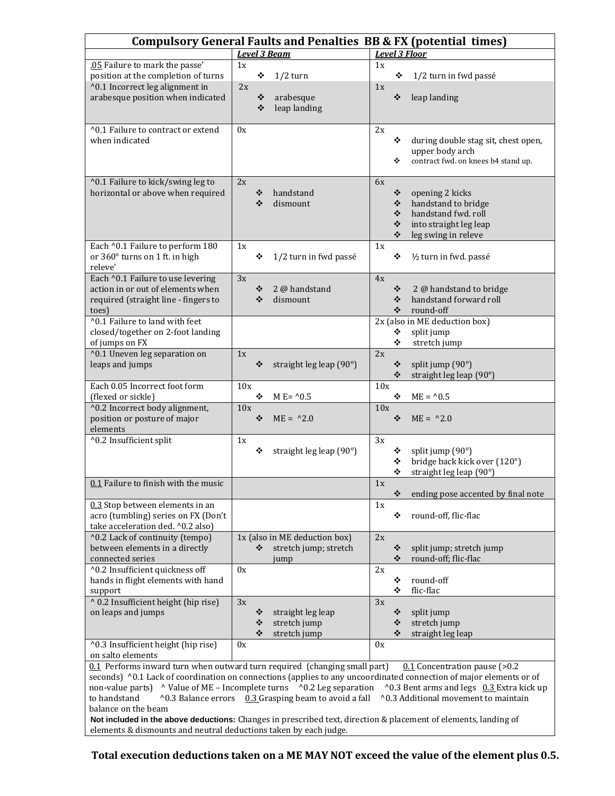|                                                                                                                                        |     |        | <b>Level 3 Beam</b>                                  |     |        | <b>Compulsory General Faults and Penalties BB &amp; FX (potential times)</b><br><b>Level 3 Floor</b> |
|----------------------------------------------------------------------------------------------------------------------------------------|-----|--------|------------------------------------------------------|-----|--------|------------------------------------------------------------------------------------------------------|
| .05 Failure to mark the passe'                                                                                                         | 1x  |        |                                                      | 1x  |        |                                                                                                      |
| position at the completion of turns                                                                                                    |     | ❖      | $1/2$ turn                                           |     | ❖      | 1/2 turn in fwd passé                                                                                |
| ^0.1 Incorrect leg alignment in                                                                                                        | 2x  |        |                                                      | 1x  |        |                                                                                                      |
| arabesque position when indicated                                                                                                      |     | ❖      | arabesque                                            |     | ❖      | leap landing                                                                                         |
|                                                                                                                                        |     | ❖      | leap landing                                         |     |        |                                                                                                      |
|                                                                                                                                        |     |        |                                                      |     |        |                                                                                                      |
| ^0.1 Failure to contract or extend                                                                                                     | 0x  |        |                                                      | 2x  |        |                                                                                                      |
| when indicated                                                                                                                         |     |        |                                                      |     | ❖      | during double stag sit, chest open,                                                                  |
|                                                                                                                                        |     |        |                                                      |     |        | upper body arch                                                                                      |
|                                                                                                                                        |     |        |                                                      |     | ❖      | contract fwd. on knees b4 stand up.                                                                  |
|                                                                                                                                        |     |        |                                                      |     |        |                                                                                                      |
| ^0.1 Failure to kick/swing leg to                                                                                                      | 2x  |        |                                                      | 6x  |        |                                                                                                      |
| horizontal or above when required                                                                                                      |     | ❖      | handstand                                            |     | ❖      | opening 2 kicks                                                                                      |
|                                                                                                                                        |     | ❖      | dismount                                             |     | ❖      | handstand to bridge                                                                                  |
|                                                                                                                                        |     |        |                                                      |     | ❖      | handstand fwd. roll                                                                                  |
|                                                                                                                                        |     |        |                                                      |     | ❖      | into straight leg leap                                                                               |
|                                                                                                                                        |     |        |                                                      |     | ❖      | leg swing in releve                                                                                  |
| Each ^0.1 Failure to perform 180                                                                                                       | 1x  |        |                                                      | 1x  |        |                                                                                                      |
| or 360° turns on 1 ft. in high                                                                                                         |     | ❖      | 1/2 turn in fwd passé                                |     | ❖      | 1/2 turn in fwd. passé                                                                               |
| releve'                                                                                                                                |     |        |                                                      |     |        |                                                                                                      |
| Each ^0.1 Failure to use levering<br>action in or out of elements when                                                                 | 3x  |        |                                                      | 4x  |        |                                                                                                      |
| required (straight line - fingers to                                                                                                   |     | ❖<br>❖ | 2 @ handstand<br>dismount                            |     | ❖<br>❖ | 2 @ handstand to bridge<br>handstand forward roll                                                    |
|                                                                                                                                        |     |        |                                                      |     | ❖      | round-off                                                                                            |
| toes)<br>^0.1 Failure to land with feet                                                                                                |     |        |                                                      |     |        | 2x (also in ME deduction box)                                                                        |
| closed/together on 2-foot landing                                                                                                      |     |        |                                                      |     | ❖      | split jump                                                                                           |
| of jumps on FX                                                                                                                         |     |        |                                                      |     | ❖      | stretch jump                                                                                         |
| ^0.1 Uneven leg separation on                                                                                                          | 1x  |        |                                                      | 2x  |        |                                                                                                      |
| leaps and jumps                                                                                                                        |     | ❖      | straight leg leap (90°)                              |     | ❖      | split jump (90°)                                                                                     |
|                                                                                                                                        |     |        |                                                      |     | ❖      | straight leg leap (90°)                                                                              |
| Each 0.05 Incorrect foot form                                                                                                          | 10x |        |                                                      | 10x |        |                                                                                                      |
| (flexed or sickle)                                                                                                                     |     | ❖      | M E= $^{\wedge}0.5$                                  |     | ❖      | $ME = 0.5$                                                                                           |
| ^0.2 Incorrect body alignment,                                                                                                         | 10x |        |                                                      | 10x |        |                                                                                                      |
| position or posture of major<br>elements                                                                                               |     | ❖      | $ME = \, ^{0}2.0$                                    |     | ❖      | $ME = \triangle 2.0$                                                                                 |
| ^0.2 Insufficient split                                                                                                                | 1x  |        |                                                      | 3x  |        |                                                                                                      |
|                                                                                                                                        |     | ❖      | straight leg leap $(90^\circ)$                       |     | ❖      | split jump (90°)                                                                                     |
|                                                                                                                                        |     |        |                                                      |     | ❖      | bridge back kick over (120°)                                                                         |
|                                                                                                                                        |     |        |                                                      |     | ❖      | straight leg leap (90°)                                                                              |
| 0.1 Failure to finish with the music                                                                                                   |     |        |                                                      | 1x  |        |                                                                                                      |
|                                                                                                                                        |     |        |                                                      |     | ❖      | ending pose accented by final note                                                                   |
| 0.3 Stop between elements in an                                                                                                        |     |        |                                                      | 1x  |        |                                                                                                      |
| acro (tumbling) series on FX (Don't                                                                                                    |     |        |                                                      |     | ❖      | round-off, flic-flac                                                                                 |
| take acceleration ded. ^0.2 also)                                                                                                      |     |        |                                                      |     |        |                                                                                                      |
| ^0.2 Lack of continuity (tempo)                                                                                                        |     |        | 1x (also in ME deduction box)                        | 2x  |        |                                                                                                      |
| between elements in a directly                                                                                                         |     | ❖      | stretch jump; stretch                                |     | ❖      | split jump; stretch jump                                                                             |
| connected series                                                                                                                       |     |        | jump                                                 |     | ❖      | round-off; flic-flac                                                                                 |
| ^0.2 Insufficient quickness off                                                                                                        | 0x  |        |                                                      | 2x  |        |                                                                                                      |
| hands in flight elements with hand                                                                                                     |     |        |                                                      |     | ❖      | round-off                                                                                            |
| support                                                                                                                                |     |        |                                                      |     | ❖      | flic-flac                                                                                            |
| ^ 0.2 Insufficient height (hip rise)                                                                                                   | 3x  |        |                                                      | 3x  |        |                                                                                                      |
| on leaps and jumps                                                                                                                     |     | ❖      | straight leg leap                                    |     | ❖      | split jump                                                                                           |
|                                                                                                                                        |     | ❖      | stretch jump                                         |     | ❖      | stretch jump                                                                                         |
|                                                                                                                                        |     | ❖      | stretch jump                                         |     | ❖      | straight leg leap                                                                                    |
| ^0.3 Insufficient height (hip rise)                                                                                                    | 0x  |        |                                                      | 0x  |        |                                                                                                      |
|                                                                                                                                        |     |        |                                                      |     |        |                                                                                                      |
| on salto elements                                                                                                                      |     |        |                                                      |     |        |                                                                                                      |
| 0.1 Performs inward turn when outward turn required (changing small part)                                                              |     |        |                                                      |     |        | $0.1$ Concentration pause (>0.2                                                                      |
| seconds) ^0.1 Lack of coordination on connections (applies to any uncoordinated connection of major elements or of<br>non-value parts) |     |        | ^ Value of ME - Incomplete turns ^0.2 Leg separation |     |        | ^0.3 Bent arms and legs 0.3 Extra kick up                                                            |

**s:** Changes in prescribed text, direction & placement of elements, landing of Not included in the above deductions: Changes in prescribed text, direction & p.<br>elements & dismounts and neutral deductions taken by each judge.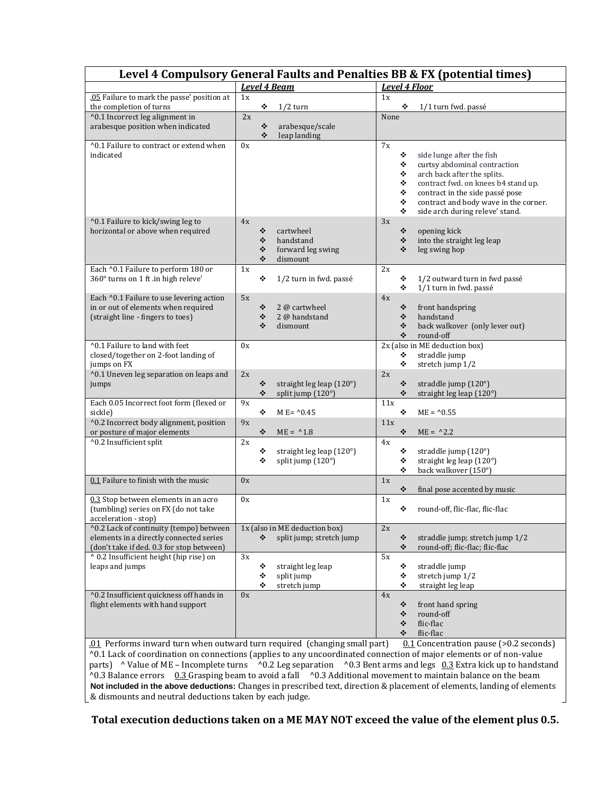|                                                                                                                                               |          |                          |                                                           |            |                                 | Level 4 Compulsory General Faults and Penalties BB & FX (potential times)                                                                                                                                                                      |
|-----------------------------------------------------------------------------------------------------------------------------------------------|----------|--------------------------|-----------------------------------------------------------|------------|---------------------------------|------------------------------------------------------------------------------------------------------------------------------------------------------------------------------------------------------------------------------------------------|
|                                                                                                                                               |          |                          | <b>Level 4 Beam</b>                                       |            |                                 | <b>Level 4 Floor</b>                                                                                                                                                                                                                           |
| .05 Failure to mark the passe' position at<br>the completion of turns<br>^0.1 Incorrect leg alignment in<br>arabesque position when indicated | 1x<br>2x | ❖<br>❖<br>$\ddot{\cdot}$ | $1/2$ turn<br>arabesque/scale<br>leap landing             | 1x<br>None | ❖                               | 1/1 turn fwd. passé                                                                                                                                                                                                                            |
| ^0.1 Failure to contract or extend when<br>indicated                                                                                          | 0x       |                          |                                                           | 7x         | ❖<br>❖<br>❖<br>❖<br>۰<br>❖<br>❖ | side lunge after the fish<br>curtsy abdominal contraction<br>arch back after the splits.<br>contract fwd. on knees b4 stand up.<br>contract in the side passé pose<br>contract and body wave in the corner.<br>side arch during releve' stand. |
| ^0.1 Failure to kick/swing leg to<br>horizontal or above when required                                                                        | 4x       | ❖<br>❖<br>❖<br>❖         | cartwheel<br>handstand<br>forward leg swing<br>dismount   | 3x         | ❖<br>❖<br>❖                     | opening kick<br>into the straight leg leap<br>leg swing hop                                                                                                                                                                                    |
| Each ^0.1 Failure to perform 180 or<br>360° turns on 1 ft .in high releve'                                                                    | 1x       | ❖                        | 1/2 turn in fwd. passé                                    | 2x         | ❖<br>❖                          | 1/2 outward turn in fwd passé<br>1/1 turn in fwd. passé                                                                                                                                                                                        |
| Each ^0.1 Failure to use levering action<br>in or out of elements when required<br>(straight line - fingers to toes)                          | 5x       | ❖<br>❖<br>❖              | 2 @ cartwheel<br>2 @ handstand<br>dismount                | 4x         | ❖<br>❖<br>❖<br>❖                | front handspring<br>handstand<br>back walkover (only lever out)<br>round-off                                                                                                                                                                   |
| ^0.1 Failure to land with feet<br>closed/together on 2-foot landing of<br>jumps on FX                                                         | 0x       |                          |                                                           |            | ❖<br>❖                          | 2x (also in ME deduction box)<br>straddle jump<br>stretch jump 1/2                                                                                                                                                                             |
| ^0.1 Uneven leg separation on leaps and<br>jumps                                                                                              | 2x       | ❖<br>❖                   | straight leg leap (120°)<br>split jump (120°)             | 2x         | ❖<br>❖                          | straddle jump (120°)<br>straight leg leap (120°)                                                                                                                                                                                               |
| Each 0.05 Incorrect foot form (flexed or<br>sickle)<br>^0.2 Incorrect body alignment, position                                                | 9x<br>9x | ❖                        | M E= $^{0.45}$                                            | 11x<br>11x | ❖                               | $ME = 0.55$                                                                                                                                                                                                                                    |
| or posture of major elements<br>^0.2 Insufficient split                                                                                       | 2x       | ❖                        | $ME = 1.8$                                                | 4x         | ❖                               | $ME = \triangle 2.2$                                                                                                                                                                                                                           |
|                                                                                                                                               |          | ❖<br>❖                   | straight leg leap (120°)<br>split jump (120°)             |            | ❖<br>❖<br>❖                     | straddle jump (120°)<br>straight leg leap (120°)<br>back walkover (150°)                                                                                                                                                                       |
| 0.1 Failure to finish with the music                                                                                                          | 0x       |                          |                                                           | 1x         | ❖                               | final pose accented by music                                                                                                                                                                                                                   |
| 0.3 Stop between elements in an acro<br>(tumbling) series on FX (do not take<br>acceleration - stop)                                          | 0x       |                          |                                                           | 1x         | ❖                               | round-off, flic-flac, flic-flac                                                                                                                                                                                                                |
| ^0.2 Lack of continuity (tempo) between<br>elements in a directly connected series<br>(don't take if ded. 0.3 for stop between)               |          | ❖                        | 1x (also in ME deduction box)<br>split jump; stretch jump | 2x         | ٠<br>❖                          | straddle jump; stretch jump 1/2<br>round-off; flic-flac; flic-flac                                                                                                                                                                             |
| ^ 0.2 Insufficient height (hip rise) on<br>leaps and jumps                                                                                    | 3x       | ❖<br>❖<br>❖              | straight leg leap<br>split jump<br>stretch jump           | 5x         | ❖<br>❖<br>❖                     | straddle jump<br>stretch jump 1/2<br>straight leg leap                                                                                                                                                                                         |
| ^0.2 Insufficient quickness off hands in<br>flight elements with hand support                                                                 | 0x       |                          |                                                           | 4x         | ❖<br>❖<br>❖<br>❖                | front hand spring<br>round-off<br>flic-flac<br>flic-flac                                                                                                                                                                                       |

^0.1 Lack of coordination on connections (applies to any uncoordinated connection of major elements or of non-value parts)  $\land$  Value of ME – Incomplete turns  $\land$  0.2 Leg separation  $\land$  0.3 Bent arms and legs 0.3 Extra kick up to handstand ^0.3 Balance errors 0.3 Grasping beam to avoid a fall ^0.3 Additional movement to maintain balance on the beam **Not included in the above deductions:** Changes in prescribed text, direction & placement of elements, landing of elements & dismounts and neutral deductions taken by each judge.